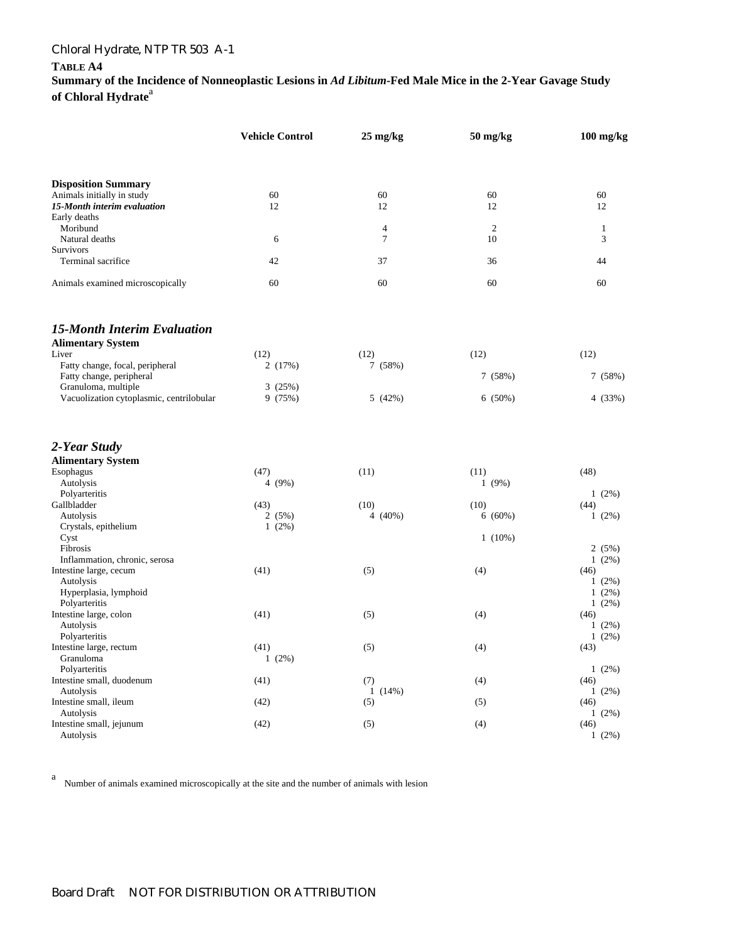### **TABLE A4**

**Summary of the Incidence of Nonneoplastic Lesions in** *Ad Libitum***-Fed Male Mice in the 2-Year Gavage Study**  of Chloral Hydrate<sup>a</sup>

|                                                                 | <b>Vehicle Control</b> | $25 \text{ mg/kg}$ | $50$ mg/kg     | 100 mg/kg        |  |
|-----------------------------------------------------------------|------------------------|--------------------|----------------|------------------|--|
|                                                                 |                        |                    |                |                  |  |
| <b>Disposition Summary</b>                                      | 60                     | 60                 | 60             | 60               |  |
| Animals initially in study<br>15-Month interim evaluation       | 12                     | 12                 | 12             | 12               |  |
| Early deaths                                                    |                        |                    |                |                  |  |
| Moribund                                                        |                        | $\overline{4}$     | $\overline{2}$ | $\mathbf{1}$     |  |
| Natural deaths                                                  | 6                      | $\overline{7}$     | 10             | 3                |  |
| Survivors                                                       |                        |                    |                |                  |  |
| Terminal sacrifice                                              | 42                     | 37                 | 36             | 44               |  |
| Animals examined microscopically                                | 60                     | 60                 | 60             | 60               |  |
| <b>15-Month Interim Evaluation</b>                              |                        |                    |                |                  |  |
| <b>Alimentary System</b>                                        |                        |                    |                |                  |  |
| Liver                                                           | (12)                   | (12)               | (12)           | (12)             |  |
| Fatty change, focal, peripheral                                 | 2(17%)                 | 7(58%)             |                |                  |  |
| Fatty change, peripheral                                        |                        |                    | 7(58%)         | 7(58%)           |  |
| Granuloma, multiple<br>Vacuolization cytoplasmic, centrilobular | 3(25%)<br>9 (75%)      | 5(42%)             | 6(50%)         | 4(33%)           |  |
| 2-Year Study                                                    |                        |                    |                |                  |  |
|                                                                 |                        |                    |                |                  |  |
| <b>Alimentary System</b>                                        |                        |                    |                |                  |  |
| Esophagus<br>Autolysis                                          | (47)<br>4 (9%)         | (11)               | (11)<br>1(9%)  | (48)             |  |
| Polyarteritis                                                   |                        |                    |                | $1(2\%)$         |  |
| Gallbladder                                                     | (43)                   | (10)               | (10)           | (44)             |  |
| Autolysis                                                       | 2(5%)                  | 4 $(40\%)$         | 6(60%)         | $1(2\%)$         |  |
| Crystals, epithelium                                            | $1(2\%)$               |                    |                |                  |  |
| Cyst                                                            |                        |                    | $1(10\%)$      |                  |  |
| Fibrosis                                                        |                        |                    |                | 2(5%)            |  |
| Inflammation, chronic, serosa                                   |                        |                    |                | $1(2\%)$         |  |
| Intestine large, cecum                                          | (41)                   | (5)                | (4)            | (46)             |  |
| Autolysis                                                       |                        |                    |                | $1(2\%)$         |  |
| Hyperplasia, lymphoid                                           |                        |                    |                | $1(2\%)$         |  |
| Polyarteritis                                                   |                        |                    |                | $1(2\%)$         |  |
| Intestine large, colon                                          | (41)                   | (5)                | (4)            | (46)             |  |
| Autolysis                                                       |                        |                    |                | $1(2\%)$         |  |
| Polyarteritis<br>Intestine large, rectum                        | (41)                   | (5)                | (4)            | $1(2\%)$<br>(43) |  |
| Granuloma                                                       | $1(2\%)$               |                    |                |                  |  |
| Polyarteritis                                                   |                        |                    |                | $1(2\%)$         |  |
| Intestine small, duodenum                                       | (41)                   | (7)                | (4)            | (46)             |  |
| Autolysis                                                       |                        | 1(14%)             |                | $1(2\%)$         |  |
| Intestine small, ileum                                          | (42)                   | (5)                | (5)            | (46)             |  |
| Autolysis                                                       |                        |                    |                | 1(2%)            |  |
| Intestine small, jejunum<br>Autolysis                           | (42)                   | (5)                | (4)            | (46)<br>$1(2\%)$ |  |

a Number of animals examined microscopically at the site and the number of animals with lesion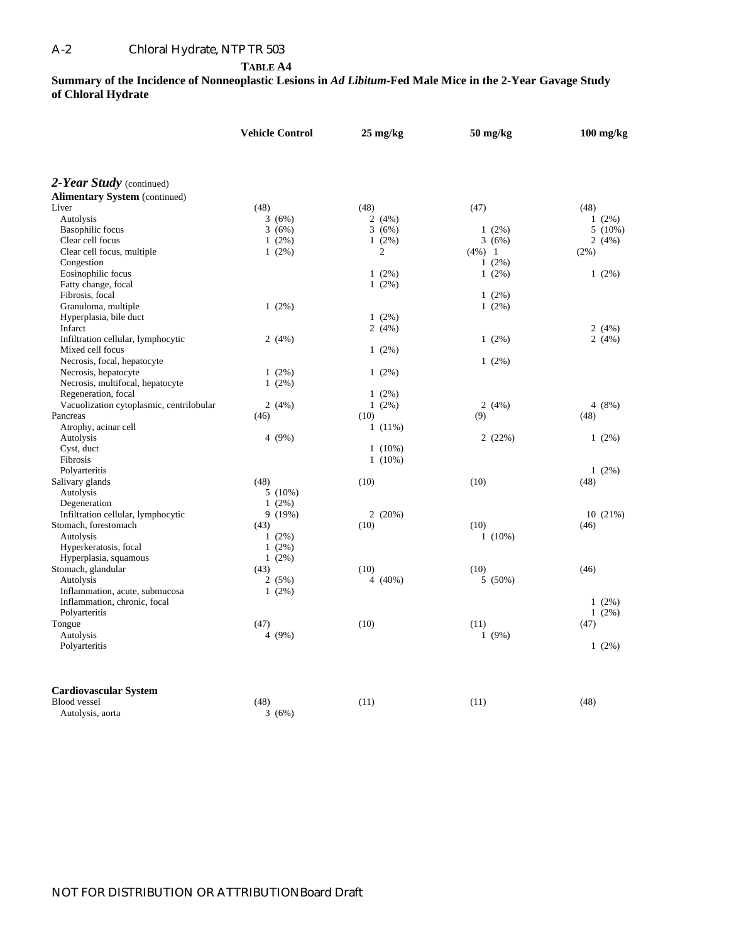### A-2 Chloral Hydrate, NTP TR 503

**TABLE A4** 

**Summary of the Incidence of Nonneoplastic Lesions in** *Ad Libitum***-Fed Male Mice in the 2-Year Gavage Study of Chloral Hydrate** 

| 2-Year Study (continued)<br><b>Alimentary System (continued)</b><br>Liver<br>(48)<br>(48)<br>(48)<br>(47)<br>Autolysis<br>3(6%)<br>2(4%)<br>$1(2\%)$<br><b>Basophilic</b> focus<br>3(6%)<br>3(6%)<br>$1(2\%)$<br>$5(10\%)$<br>Clear cell focus<br>$1(2\%)$<br>$1(2\%)$<br>3(6%)<br>2(4%)<br>Clear cell focus, multiple<br>$1(2\%)$<br>$\overline{c}$<br>$(4\%)$ 1<br>(2%)<br>Congestion<br>$1(2\%)$<br>Eosinophilic focus<br>$1(2\%)$<br>1(2%)<br>$1(2\%)$<br>Fatty change, focal<br>$1(2\%)$<br>Fibrosis, focal<br>$1(2\%)$<br>Granuloma, multiple<br>$1(2\%)$<br>1(2%)<br>Hyperplasia, bile duct<br>$1(2\%)$<br>2(4%)<br>Infarct<br>2(4%)<br>Infiltration cellular, lymphocytic<br>2(4%)<br>2(4%)<br>$1(2\%)$<br>Mixed cell focus<br>$1(2\%)$<br>Necrosis, focal, hepatocyte<br>$1(2\%)$<br>Necrosis, hepatocyte<br>$1(2\%)$<br>$1(2\%)$<br>Necrosis, multifocal, hepatocyte<br>$1(2\%)$<br>Regeneration, focal<br>$1(2\%)$<br>Vacuolization cytoplasmic, centrilobular<br>4(8%)<br>2(4%)<br>$1(2\%)$<br>2(4%)<br>Pancreas<br>(9)<br>(48)<br>(46)<br>(10)<br>Atrophy, acinar cell<br>$1(11\%)$<br>Autolysis<br>4(9%)<br>2(22%)<br>$1(2\%)$<br>Cyst, duct<br>$1(10\%)$<br>Fibrosis<br>$1(10\%)$<br>Polyarteritis<br>$1(2\%)$<br>(48)<br>(10)<br>Salivary glands<br>(10)<br>(48)<br>Autolysis<br>$5(10\%)$<br>Degeneration<br>$1(2\%)$<br>Infiltration cellular, lymphocytic<br>2(20%)<br>10(21%)<br>9(19%)<br>Stomach, forestomach<br>(10)<br>(10)<br>(43)<br>(46)<br>Autolysis<br>$1(10\%)$<br>$1(2\%)$<br>Hyperkeratosis, focal<br>$1(2\%)$<br>Hyperplasia, squamous<br>$1(2\%)$<br>Stomach, glandular<br>(10)<br>(10)<br>(46)<br>(43)<br>Autolysis<br>$4(40\%)$<br>2(5%)<br>5(50%)<br>Inflammation, acute, submucosa<br>$1(2\%)$<br>Inflammation, chronic, focal<br>$1(2\%)$<br>Polyarteritis<br>$1(2\%)$<br>Tongue<br>(10)<br>(11)<br>(47)<br>(47)<br>4 (9%)<br>1(9%)<br>Autolysis<br>Polyarteritis<br>$1(2\%)$<br><b>Cardiovascular System</b><br><b>Blood</b> vessel<br>(48)<br>(11)<br>(48)<br>(11)<br>3(6%) |                  | <b>Vehicle Control</b> |  | $25 \text{ mg/kg}$ |  | 50 mg/kg |  | $100$ mg/kg |  |
|----------------------------------------------------------------------------------------------------------------------------------------------------------------------------------------------------------------------------------------------------------------------------------------------------------------------------------------------------------------------------------------------------------------------------------------------------------------------------------------------------------------------------------------------------------------------------------------------------------------------------------------------------------------------------------------------------------------------------------------------------------------------------------------------------------------------------------------------------------------------------------------------------------------------------------------------------------------------------------------------------------------------------------------------------------------------------------------------------------------------------------------------------------------------------------------------------------------------------------------------------------------------------------------------------------------------------------------------------------------------------------------------------------------------------------------------------------------------------------------------------------------------------------------------------------------------------------------------------------------------------------------------------------------------------------------------------------------------------------------------------------------------------------------------------------------------------------------------------------------------------------------------------------------------------------------------------------------------------------------------------------------------|------------------|------------------------|--|--------------------|--|----------|--|-------------|--|
|                                                                                                                                                                                                                                                                                                                                                                                                                                                                                                                                                                                                                                                                                                                                                                                                                                                                                                                                                                                                                                                                                                                                                                                                                                                                                                                                                                                                                                                                                                                                                                                                                                                                                                                                                                                                                                                                                                                                                                                                                      |                  |                        |  |                    |  |          |  |             |  |
|                                                                                                                                                                                                                                                                                                                                                                                                                                                                                                                                                                                                                                                                                                                                                                                                                                                                                                                                                                                                                                                                                                                                                                                                                                                                                                                                                                                                                                                                                                                                                                                                                                                                                                                                                                                                                                                                                                                                                                                                                      |                  |                        |  |                    |  |          |  |             |  |
|                                                                                                                                                                                                                                                                                                                                                                                                                                                                                                                                                                                                                                                                                                                                                                                                                                                                                                                                                                                                                                                                                                                                                                                                                                                                                                                                                                                                                                                                                                                                                                                                                                                                                                                                                                                                                                                                                                                                                                                                                      |                  |                        |  |                    |  |          |  |             |  |
|                                                                                                                                                                                                                                                                                                                                                                                                                                                                                                                                                                                                                                                                                                                                                                                                                                                                                                                                                                                                                                                                                                                                                                                                                                                                                                                                                                                                                                                                                                                                                                                                                                                                                                                                                                                                                                                                                                                                                                                                                      |                  |                        |  |                    |  |          |  |             |  |
|                                                                                                                                                                                                                                                                                                                                                                                                                                                                                                                                                                                                                                                                                                                                                                                                                                                                                                                                                                                                                                                                                                                                                                                                                                                                                                                                                                                                                                                                                                                                                                                                                                                                                                                                                                                                                                                                                                                                                                                                                      |                  |                        |  |                    |  |          |  |             |  |
|                                                                                                                                                                                                                                                                                                                                                                                                                                                                                                                                                                                                                                                                                                                                                                                                                                                                                                                                                                                                                                                                                                                                                                                                                                                                                                                                                                                                                                                                                                                                                                                                                                                                                                                                                                                                                                                                                                                                                                                                                      |                  |                        |  |                    |  |          |  |             |  |
|                                                                                                                                                                                                                                                                                                                                                                                                                                                                                                                                                                                                                                                                                                                                                                                                                                                                                                                                                                                                                                                                                                                                                                                                                                                                                                                                                                                                                                                                                                                                                                                                                                                                                                                                                                                                                                                                                                                                                                                                                      |                  |                        |  |                    |  |          |  |             |  |
|                                                                                                                                                                                                                                                                                                                                                                                                                                                                                                                                                                                                                                                                                                                                                                                                                                                                                                                                                                                                                                                                                                                                                                                                                                                                                                                                                                                                                                                                                                                                                                                                                                                                                                                                                                                                                                                                                                                                                                                                                      |                  |                        |  |                    |  |          |  |             |  |
|                                                                                                                                                                                                                                                                                                                                                                                                                                                                                                                                                                                                                                                                                                                                                                                                                                                                                                                                                                                                                                                                                                                                                                                                                                                                                                                                                                                                                                                                                                                                                                                                                                                                                                                                                                                                                                                                                                                                                                                                                      |                  |                        |  |                    |  |          |  |             |  |
|                                                                                                                                                                                                                                                                                                                                                                                                                                                                                                                                                                                                                                                                                                                                                                                                                                                                                                                                                                                                                                                                                                                                                                                                                                                                                                                                                                                                                                                                                                                                                                                                                                                                                                                                                                                                                                                                                                                                                                                                                      |                  |                        |  |                    |  |          |  |             |  |
|                                                                                                                                                                                                                                                                                                                                                                                                                                                                                                                                                                                                                                                                                                                                                                                                                                                                                                                                                                                                                                                                                                                                                                                                                                                                                                                                                                                                                                                                                                                                                                                                                                                                                                                                                                                                                                                                                                                                                                                                                      |                  |                        |  |                    |  |          |  |             |  |
|                                                                                                                                                                                                                                                                                                                                                                                                                                                                                                                                                                                                                                                                                                                                                                                                                                                                                                                                                                                                                                                                                                                                                                                                                                                                                                                                                                                                                                                                                                                                                                                                                                                                                                                                                                                                                                                                                                                                                                                                                      |                  |                        |  |                    |  |          |  |             |  |
|                                                                                                                                                                                                                                                                                                                                                                                                                                                                                                                                                                                                                                                                                                                                                                                                                                                                                                                                                                                                                                                                                                                                                                                                                                                                                                                                                                                                                                                                                                                                                                                                                                                                                                                                                                                                                                                                                                                                                                                                                      |                  |                        |  |                    |  |          |  |             |  |
|                                                                                                                                                                                                                                                                                                                                                                                                                                                                                                                                                                                                                                                                                                                                                                                                                                                                                                                                                                                                                                                                                                                                                                                                                                                                                                                                                                                                                                                                                                                                                                                                                                                                                                                                                                                                                                                                                                                                                                                                                      |                  |                        |  |                    |  |          |  |             |  |
|                                                                                                                                                                                                                                                                                                                                                                                                                                                                                                                                                                                                                                                                                                                                                                                                                                                                                                                                                                                                                                                                                                                                                                                                                                                                                                                                                                                                                                                                                                                                                                                                                                                                                                                                                                                                                                                                                                                                                                                                                      |                  |                        |  |                    |  |          |  |             |  |
|                                                                                                                                                                                                                                                                                                                                                                                                                                                                                                                                                                                                                                                                                                                                                                                                                                                                                                                                                                                                                                                                                                                                                                                                                                                                                                                                                                                                                                                                                                                                                                                                                                                                                                                                                                                                                                                                                                                                                                                                                      |                  |                        |  |                    |  |          |  |             |  |
|                                                                                                                                                                                                                                                                                                                                                                                                                                                                                                                                                                                                                                                                                                                                                                                                                                                                                                                                                                                                                                                                                                                                                                                                                                                                                                                                                                                                                                                                                                                                                                                                                                                                                                                                                                                                                                                                                                                                                                                                                      |                  |                        |  |                    |  |          |  |             |  |
|                                                                                                                                                                                                                                                                                                                                                                                                                                                                                                                                                                                                                                                                                                                                                                                                                                                                                                                                                                                                                                                                                                                                                                                                                                                                                                                                                                                                                                                                                                                                                                                                                                                                                                                                                                                                                                                                                                                                                                                                                      |                  |                        |  |                    |  |          |  |             |  |
|                                                                                                                                                                                                                                                                                                                                                                                                                                                                                                                                                                                                                                                                                                                                                                                                                                                                                                                                                                                                                                                                                                                                                                                                                                                                                                                                                                                                                                                                                                                                                                                                                                                                                                                                                                                                                                                                                                                                                                                                                      |                  |                        |  |                    |  |          |  |             |  |
|                                                                                                                                                                                                                                                                                                                                                                                                                                                                                                                                                                                                                                                                                                                                                                                                                                                                                                                                                                                                                                                                                                                                                                                                                                                                                                                                                                                                                                                                                                                                                                                                                                                                                                                                                                                                                                                                                                                                                                                                                      |                  |                        |  |                    |  |          |  |             |  |
|                                                                                                                                                                                                                                                                                                                                                                                                                                                                                                                                                                                                                                                                                                                                                                                                                                                                                                                                                                                                                                                                                                                                                                                                                                                                                                                                                                                                                                                                                                                                                                                                                                                                                                                                                                                                                                                                                                                                                                                                                      |                  |                        |  |                    |  |          |  |             |  |
|                                                                                                                                                                                                                                                                                                                                                                                                                                                                                                                                                                                                                                                                                                                                                                                                                                                                                                                                                                                                                                                                                                                                                                                                                                                                                                                                                                                                                                                                                                                                                                                                                                                                                                                                                                                                                                                                                                                                                                                                                      |                  |                        |  |                    |  |          |  |             |  |
|                                                                                                                                                                                                                                                                                                                                                                                                                                                                                                                                                                                                                                                                                                                                                                                                                                                                                                                                                                                                                                                                                                                                                                                                                                                                                                                                                                                                                                                                                                                                                                                                                                                                                                                                                                                                                                                                                                                                                                                                                      |                  |                        |  |                    |  |          |  |             |  |
|                                                                                                                                                                                                                                                                                                                                                                                                                                                                                                                                                                                                                                                                                                                                                                                                                                                                                                                                                                                                                                                                                                                                                                                                                                                                                                                                                                                                                                                                                                                                                                                                                                                                                                                                                                                                                                                                                                                                                                                                                      |                  |                        |  |                    |  |          |  |             |  |
|                                                                                                                                                                                                                                                                                                                                                                                                                                                                                                                                                                                                                                                                                                                                                                                                                                                                                                                                                                                                                                                                                                                                                                                                                                                                                                                                                                                                                                                                                                                                                                                                                                                                                                                                                                                                                                                                                                                                                                                                                      |                  |                        |  |                    |  |          |  |             |  |
|                                                                                                                                                                                                                                                                                                                                                                                                                                                                                                                                                                                                                                                                                                                                                                                                                                                                                                                                                                                                                                                                                                                                                                                                                                                                                                                                                                                                                                                                                                                                                                                                                                                                                                                                                                                                                                                                                                                                                                                                                      |                  |                        |  |                    |  |          |  |             |  |
|                                                                                                                                                                                                                                                                                                                                                                                                                                                                                                                                                                                                                                                                                                                                                                                                                                                                                                                                                                                                                                                                                                                                                                                                                                                                                                                                                                                                                                                                                                                                                                                                                                                                                                                                                                                                                                                                                                                                                                                                                      |                  |                        |  |                    |  |          |  |             |  |
|                                                                                                                                                                                                                                                                                                                                                                                                                                                                                                                                                                                                                                                                                                                                                                                                                                                                                                                                                                                                                                                                                                                                                                                                                                                                                                                                                                                                                                                                                                                                                                                                                                                                                                                                                                                                                                                                                                                                                                                                                      |                  |                        |  |                    |  |          |  |             |  |
|                                                                                                                                                                                                                                                                                                                                                                                                                                                                                                                                                                                                                                                                                                                                                                                                                                                                                                                                                                                                                                                                                                                                                                                                                                                                                                                                                                                                                                                                                                                                                                                                                                                                                                                                                                                                                                                                                                                                                                                                                      |                  |                        |  |                    |  |          |  |             |  |
|                                                                                                                                                                                                                                                                                                                                                                                                                                                                                                                                                                                                                                                                                                                                                                                                                                                                                                                                                                                                                                                                                                                                                                                                                                                                                                                                                                                                                                                                                                                                                                                                                                                                                                                                                                                                                                                                                                                                                                                                                      |                  |                        |  |                    |  |          |  |             |  |
|                                                                                                                                                                                                                                                                                                                                                                                                                                                                                                                                                                                                                                                                                                                                                                                                                                                                                                                                                                                                                                                                                                                                                                                                                                                                                                                                                                                                                                                                                                                                                                                                                                                                                                                                                                                                                                                                                                                                                                                                                      |                  |                        |  |                    |  |          |  |             |  |
|                                                                                                                                                                                                                                                                                                                                                                                                                                                                                                                                                                                                                                                                                                                                                                                                                                                                                                                                                                                                                                                                                                                                                                                                                                                                                                                                                                                                                                                                                                                                                                                                                                                                                                                                                                                                                                                                                                                                                                                                                      |                  |                        |  |                    |  |          |  |             |  |
|                                                                                                                                                                                                                                                                                                                                                                                                                                                                                                                                                                                                                                                                                                                                                                                                                                                                                                                                                                                                                                                                                                                                                                                                                                                                                                                                                                                                                                                                                                                                                                                                                                                                                                                                                                                                                                                                                                                                                                                                                      |                  |                        |  |                    |  |          |  |             |  |
|                                                                                                                                                                                                                                                                                                                                                                                                                                                                                                                                                                                                                                                                                                                                                                                                                                                                                                                                                                                                                                                                                                                                                                                                                                                                                                                                                                                                                                                                                                                                                                                                                                                                                                                                                                                                                                                                                                                                                                                                                      |                  |                        |  |                    |  |          |  |             |  |
|                                                                                                                                                                                                                                                                                                                                                                                                                                                                                                                                                                                                                                                                                                                                                                                                                                                                                                                                                                                                                                                                                                                                                                                                                                                                                                                                                                                                                                                                                                                                                                                                                                                                                                                                                                                                                                                                                                                                                                                                                      |                  |                        |  |                    |  |          |  |             |  |
|                                                                                                                                                                                                                                                                                                                                                                                                                                                                                                                                                                                                                                                                                                                                                                                                                                                                                                                                                                                                                                                                                                                                                                                                                                                                                                                                                                                                                                                                                                                                                                                                                                                                                                                                                                                                                                                                                                                                                                                                                      |                  |                        |  |                    |  |          |  |             |  |
|                                                                                                                                                                                                                                                                                                                                                                                                                                                                                                                                                                                                                                                                                                                                                                                                                                                                                                                                                                                                                                                                                                                                                                                                                                                                                                                                                                                                                                                                                                                                                                                                                                                                                                                                                                                                                                                                                                                                                                                                                      |                  |                        |  |                    |  |          |  |             |  |
|                                                                                                                                                                                                                                                                                                                                                                                                                                                                                                                                                                                                                                                                                                                                                                                                                                                                                                                                                                                                                                                                                                                                                                                                                                                                                                                                                                                                                                                                                                                                                                                                                                                                                                                                                                                                                                                                                                                                                                                                                      |                  |                        |  |                    |  |          |  |             |  |
|                                                                                                                                                                                                                                                                                                                                                                                                                                                                                                                                                                                                                                                                                                                                                                                                                                                                                                                                                                                                                                                                                                                                                                                                                                                                                                                                                                                                                                                                                                                                                                                                                                                                                                                                                                                                                                                                                                                                                                                                                      |                  |                        |  |                    |  |          |  |             |  |
|                                                                                                                                                                                                                                                                                                                                                                                                                                                                                                                                                                                                                                                                                                                                                                                                                                                                                                                                                                                                                                                                                                                                                                                                                                                                                                                                                                                                                                                                                                                                                                                                                                                                                                                                                                                                                                                                                                                                                                                                                      |                  |                        |  |                    |  |          |  |             |  |
|                                                                                                                                                                                                                                                                                                                                                                                                                                                                                                                                                                                                                                                                                                                                                                                                                                                                                                                                                                                                                                                                                                                                                                                                                                                                                                                                                                                                                                                                                                                                                                                                                                                                                                                                                                                                                                                                                                                                                                                                                      |                  |                        |  |                    |  |          |  |             |  |
|                                                                                                                                                                                                                                                                                                                                                                                                                                                                                                                                                                                                                                                                                                                                                                                                                                                                                                                                                                                                                                                                                                                                                                                                                                                                                                                                                                                                                                                                                                                                                                                                                                                                                                                                                                                                                                                                                                                                                                                                                      |                  |                        |  |                    |  |          |  |             |  |
|                                                                                                                                                                                                                                                                                                                                                                                                                                                                                                                                                                                                                                                                                                                                                                                                                                                                                                                                                                                                                                                                                                                                                                                                                                                                                                                                                                                                                                                                                                                                                                                                                                                                                                                                                                                                                                                                                                                                                                                                                      |                  |                        |  |                    |  |          |  |             |  |
|                                                                                                                                                                                                                                                                                                                                                                                                                                                                                                                                                                                                                                                                                                                                                                                                                                                                                                                                                                                                                                                                                                                                                                                                                                                                                                                                                                                                                                                                                                                                                                                                                                                                                                                                                                                                                                                                                                                                                                                                                      |                  |                        |  |                    |  |          |  |             |  |
|                                                                                                                                                                                                                                                                                                                                                                                                                                                                                                                                                                                                                                                                                                                                                                                                                                                                                                                                                                                                                                                                                                                                                                                                                                                                                                                                                                                                                                                                                                                                                                                                                                                                                                                                                                                                                                                                                                                                                                                                                      | Autolysis, aorta |                        |  |                    |  |          |  |             |  |

# NOT FOR DISTRIBUTION OR ATTRIBUTIONBoard Draft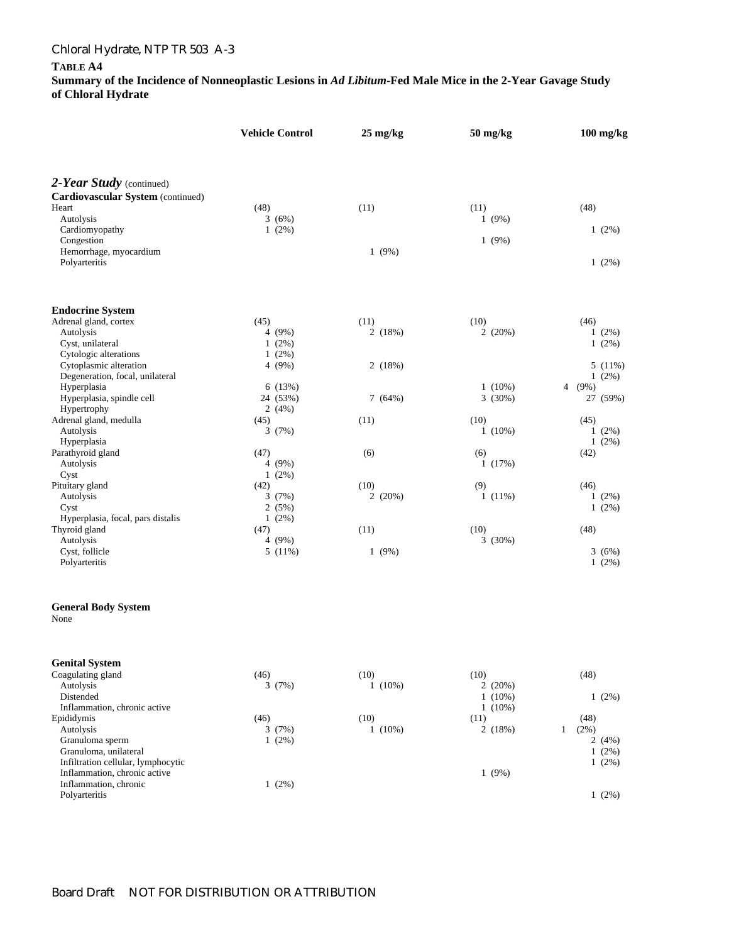### **TABLE A4**

|                                                           |      | <b>Vehicle Control</b> | $25 \text{ mg/kg}$ |           | 50 mg/kg |                        |              | $100$ mg/kg |                       |
|-----------------------------------------------------------|------|------------------------|--------------------|-----------|----------|------------------------|--------------|-------------|-----------------------|
|                                                           |      |                        |                    |           |          |                        |              |             |                       |
| 2-Year Study (continued)                                  |      |                        |                    |           |          |                        |              |             |                       |
| Cardiovascular System (continued)                         |      |                        |                    |           |          |                        |              |             |                       |
| Heart                                                     | (48) |                        | (11)               |           | (11)     |                        |              | (48)        |                       |
| Autolysis                                                 |      | 3(6%)                  |                    |           |          | 1(9%)                  |              |             |                       |
| Cardiomyopathy                                            |      | 1(2%)                  |                    |           |          |                        |              |             | $1(2\%)$              |
| Congestion<br>Hemorrhage, myocardium                      |      |                        |                    | 1(9%)     |          | 1(9%)                  |              |             |                       |
| Polyarteritis                                             |      |                        |                    |           |          |                        |              |             | $1(2\%)$              |
| <b>Endocrine System</b>                                   |      |                        |                    |           |          |                        |              |             |                       |
| Adrenal gland, cortex                                     | (45) |                        | (11)               |           | (10)     |                        |              | (46)        |                       |
| Autolysis                                                 |      | 4(9%)                  |                    | 2(18%)    |          | 2(20%)                 |              |             | $1(2\%)$              |
| Cyst, unilateral                                          |      | 1(2%)                  |                    |           |          |                        |              |             | $1(2\%)$              |
| Cytologic alterations                                     |      | $1(2\%)$               |                    |           |          |                        |              |             |                       |
| Cytoplasmic alteration<br>Degeneration, focal, unilateral |      | 4(9%)                  |                    | 2(18%)    |          |                        |              |             | $5(11\%)$<br>$1(2\%)$ |
| Hyperplasia                                               |      | 6(13%)                 |                    |           |          | $1(10\%)$              |              | 4 $(9%)$    |                       |
| Hyperplasia, spindle cell                                 |      | 24 (53%)               |                    | 7(64%)    |          | 3(30%)                 |              |             | 27 (59%)              |
| Hypertrophy                                               |      | 2(4%)                  |                    |           |          |                        |              |             |                       |
| Adrenal gland, medulla                                    | (45) |                        | (11)               |           | (10)     |                        |              | (45)        |                       |
| Autolysis                                                 |      | 3(7%)                  |                    |           |          | $1(10\%)$              |              |             | $1(2\%)$              |
| Hyperplasia<br>Parathyroid gland                          | (47) |                        | (6)                |           | (6)      |                        |              | (42)        | $1(2\%)$              |
| Autolysis                                                 |      | 4 (9%)                 |                    |           |          | 1(17%)                 |              |             |                       |
| Cyst                                                      |      | 1(2%)                  |                    |           |          |                        |              |             |                       |
| Pituitary gland                                           | (42) |                        | (10)               |           | (9)      |                        |              | (46)        |                       |
| Autolysis                                                 |      | 3(7%)                  |                    | 2(20%)    |          | $1(11\%)$              |              |             | $1(2\%)$              |
| Cyst                                                      |      | 2(5%)                  |                    |           |          |                        |              |             | $1(2\%)$              |
| Hyperplasia, focal, pars distalis<br>Thyroid gland        | (47) | $1(2\%)$               | (11)               |           | (10)     |                        |              | (48)        |                       |
| Autolysis                                                 |      | 4(9%)                  |                    |           |          | 3(30%)                 |              |             |                       |
| Cyst, follicle                                            |      | 5(11%)                 |                    | 1(9%)     |          |                        |              |             | 3(6%)                 |
| Polyarteritis                                             |      |                        |                    |           |          |                        |              |             | $1(2\%)$              |
| <b>General Body System</b><br>None                        |      |                        |                    |           |          |                        |              |             |                       |
|                                                           |      |                        |                    |           |          |                        |              |             |                       |
| <b>Genital System</b>                                     |      |                        |                    |           |          |                        |              |             |                       |
| Coagulating gland                                         | (46) |                        | (10)               |           | (10)     |                        |              | (48)        |                       |
| Autolysis                                                 |      | 3(7%)                  |                    | $1(10\%)$ |          | 2(20%)                 |              |             |                       |
| Distended<br>Inflammation, chronic active                 |      |                        |                    |           |          | $1(10\%)$<br>$1(10\%)$ |              |             | 1(2%)                 |
| Epididymis                                                | (46) |                        | (10)               |           | (11)     |                        |              | (48)        |                       |
| Autolysis                                                 |      | 3(7%)                  |                    | $1(10\%)$ |          | 2(18%)                 | $\mathbf{1}$ | (2%)        |                       |
| Granuloma sperm                                           |      | 1(2%)                  |                    |           |          |                        |              |             | 2(4%)                 |
| Granuloma, unilateral                                     |      |                        |                    |           |          |                        |              |             | $1(2\%)$              |
| Infiltration cellular, lymphocytic                        |      |                        |                    |           |          |                        |              |             | 1(2%)                 |
| Inflammation, chronic active<br>Inflammation, chronic     |      |                        |                    |           |          | 1(9%)                  |              |             |                       |
| Polyarteritis                                             |      | 1(2%)                  |                    |           |          |                        |              |             | 1(2%)                 |
|                                                           |      |                        |                    |           |          |                        |              |             |                       |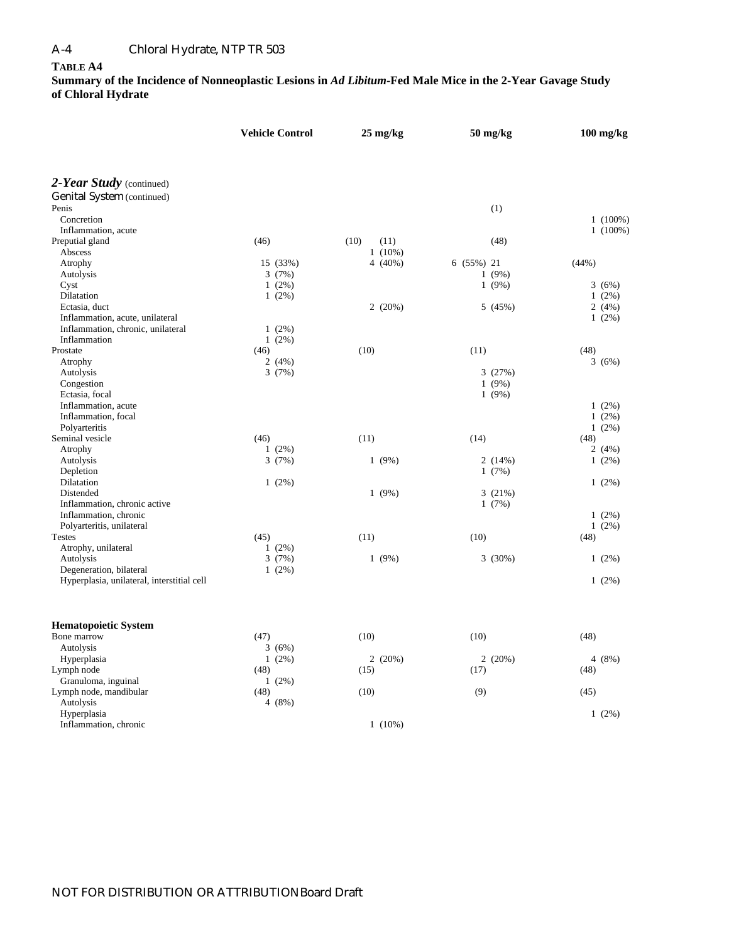### **TABLE A4**

|                                            | <b>Vehicle Control</b> |          | $25 \text{ mg/kg}$ |            | 50 mg/kg   |        | $100$ mg/kg |            |
|--------------------------------------------|------------------------|----------|--------------------|------------|------------|--------|-------------|------------|
| 2-Year Study (continued)                   |                        |          |                    |            |            |        |             |            |
| <b>Genital System (continued)</b>          |                        |          |                    |            |            |        |             |            |
| Penis                                      |                        |          |                    |            |            | (1)    |             |            |
| Concretion                                 |                        |          |                    |            |            |        |             | $1(100\%)$ |
| Inflammation, acute                        |                        |          |                    |            |            |        |             | $1(100\%)$ |
| Preputial gland                            | (46)                   |          | (10)               | (11)       |            | (48)   |             |            |
| Abscess                                    |                        |          |                    | $1(10\%)$  |            |        |             |            |
| Atrophy                                    |                        | 15 (33%) |                    | 4 $(40\%)$ | 6 (55%) 21 |        | (44%)       |            |
| Autolysis                                  |                        | 3(7%)    |                    |            |            | 1(9%)  |             |            |
| Cyst                                       |                        | $1(2\%)$ |                    |            |            | 1(9%)  |             | 3(6%)      |
| Dilatation                                 |                        | $1(2\%)$ |                    |            |            |        |             | $1(2\%)$   |
| Ectasia, duct                              |                        |          |                    | 2(20%)     |            | 5(45%) |             | 2(4%)      |
| Inflammation, acute, unilateral            |                        |          |                    |            |            |        |             | 1(2%)      |
| Inflammation, chronic, unilateral          |                        | 1(2%)    |                    |            |            |        |             |            |
| Inflammation                               |                        | $1(2\%)$ |                    |            |            |        |             |            |
| Prostate                                   | (46)                   |          | (10)               |            | (11)       |        | (48)        |            |
| Atrophy                                    |                        | 2 $(4%)$ |                    |            |            |        |             | 3(6%)      |
| Autolysis                                  |                        | 3(7%)    |                    |            |            | 3(27%) |             |            |
| Congestion                                 |                        |          |                    |            |            | 1(9%)  |             |            |
| Ectasia, focal                             |                        |          |                    |            |            | 1(9%)  |             |            |
| Inflammation, acute                        |                        |          |                    |            |            |        |             | $1(2\%)$   |
| Inflammation, focal                        |                        |          |                    |            |            |        |             | $1(2\%)$   |
| Polyarteritis<br>Seminal vesicle           | (46)                   |          | (11)               |            | (14)       |        | (48)        | $1(2\%)$   |
| Atrophy                                    |                        | $1(2\%)$ |                    |            |            |        |             | 2(4%)      |
| Autolysis                                  |                        | 3(7%)    |                    | 1(9%)      |            | 2(14%) |             | 1(2%)      |
| Depletion                                  |                        |          |                    |            |            | 1(7%)  |             |            |
| Dilatation                                 |                        | $1(2\%)$ |                    |            |            |        |             | 1(2%)      |
| Distended                                  |                        |          |                    | $1(9\%)$   |            | 3(21%) |             |            |
| Inflammation, chronic active               |                        |          |                    |            |            | 1(7%)  |             |            |
| Inflammation, chronic                      |                        |          |                    |            |            |        |             | 1(2%)      |
| Polyarteritis, unilateral                  |                        |          |                    |            |            |        |             | $1(2\%)$   |
| <b>Testes</b>                              | (45)                   |          | (11)               |            | (10)       |        | (48)        |            |
| Atrophy, unilateral                        |                        | 1(2%)    |                    |            |            |        |             |            |
| Autolysis                                  |                        | 3(7%)    |                    | 1(9%)      |            | 3(30%) |             | 1(2%)      |
| Degeneration, bilateral                    |                        | $1(2\%)$ |                    |            |            |        |             |            |
| Hyperplasia, unilateral, interstitial cell |                        |          |                    |            |            |        |             | $1(2\%)$   |
| <b>Hematopoietic System</b>                |                        |          |                    |            |            |        |             |            |
| Bone marrow                                | (47)                   |          | (10)               |            | (10)       |        | (48)        |            |
| Autolysis                                  |                        | 3(6%)    |                    |            |            |        |             |            |
| Hyperplasia                                |                        | $1(2\%)$ |                    | 2(20%)     |            | 2(20%) |             | 4(8%)      |
| Lymph node                                 | (48)                   |          | (15)               |            | (17)       |        | (48)        |            |
| Granuloma, inguinal                        |                        | $1(2\%)$ |                    |            |            |        |             |            |
| Lymph node, mandibular                     | (48)                   |          | (10)               |            | (9)        |        | (45)        |            |
| Autolysis                                  |                        | 4(8%)    |                    |            |            |        |             |            |
| Hyperplasia                                |                        |          |                    |            |            |        |             | 1(2%)      |
| Inflammation, chronic                      |                        |          |                    | $1(10\%)$  |            |        |             |            |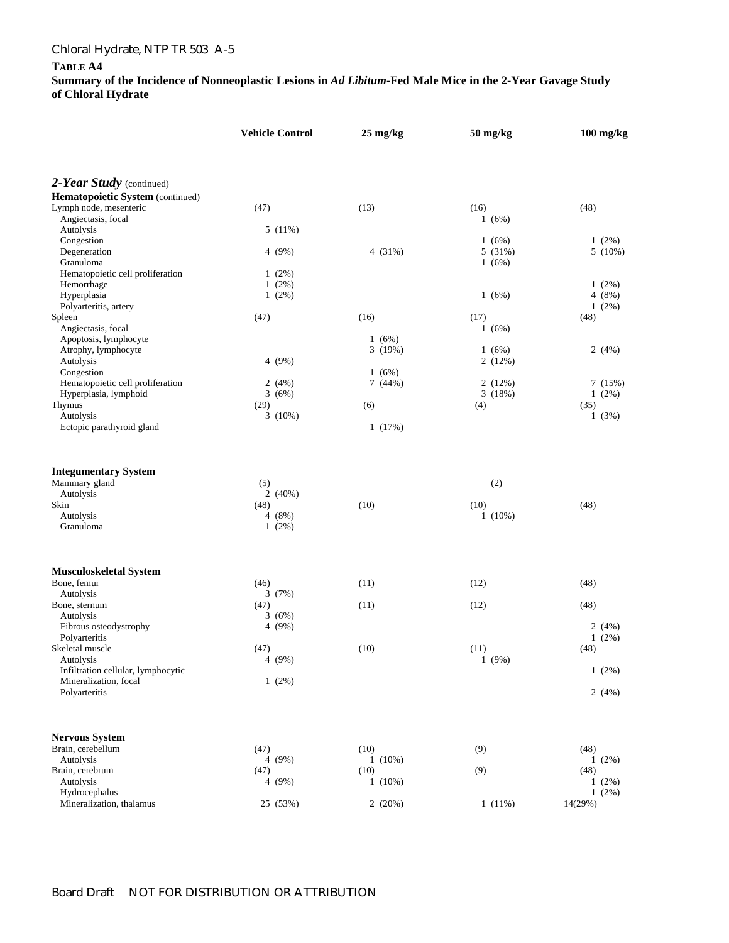### **TABLE A4**

|                                                 | <b>Vehicle Control</b> | $25 \text{ mg/kg}$ | 50 mg/kg  | $100$ mg/kg      |
|-------------------------------------------------|------------------------|--------------------|-----------|------------------|
|                                                 |                        |                    |           |                  |
| 2-Year Study (continued)                        |                        |                    |           |                  |
| Hematopoietic System (continued)                |                        |                    |           |                  |
| Lymph node, mesenteric                          | (47)                   | (13)               | (16)      | (48)             |
| Angiectasis, focal                              |                        |                    | 1(6%)     |                  |
| Autolysis<br>Congestion                         | $5(11\%)$              |                    | 1(6%)     | $1(2\%)$         |
| Degeneration                                    | 4 $(9\%)$              | 4 $(31%)$          | 5 (31%)   | $5(10\%)$        |
| Granuloma                                       |                        |                    | 1(6%)     |                  |
| Hematopoietic cell proliferation                | $1(2\%)$               |                    |           |                  |
| Hemorrhage                                      | $1(2\%)$               |                    |           | $1(2\%)$         |
| Hyperplasia                                     | $1(2\%)$               |                    | 1(6%)     | 4(8%)            |
| Polyarteritis, artery                           |                        |                    |           | $1(2\%)$         |
| Spleen                                          | (47)                   | (16)               | (17)      | (48)             |
| Angiectasis, focal                              |                        |                    | 1(6%)     |                  |
| Apoptosis, lymphocyte                           |                        | 1(6%)              |           |                  |
| Atrophy, lymphocyte                             |                        | 3(19%)             | 1(6%)     | 2(4%)            |
| Autolysis<br>Congestion                         | 4 $(9\%)$              | 1(6%)              | 2(12%)    |                  |
| Hematopoietic cell proliferation                | 2(4%)                  | 7 (44%)            | 2(12%)    | 7(15%)           |
| Hyperplasia, lymphoid                           | 3(6%)                  |                    | 3(18%)    | $1(2\%)$         |
| Thymus                                          | (29)                   | (6)                | (4)       | (35)             |
| Autolysis                                       | 3(10%)                 |                    |           | 1(3%)            |
| Ectopic parathyroid gland                       |                        | 1(17%)             |           |                  |
| <b>Integumentary System</b>                     |                        |                    |           |                  |
| Mammary gland                                   | (5)                    |                    | (2)       |                  |
| Autolysis                                       | 2(40%)                 |                    |           |                  |
| Skin                                            | (48)                   | (10)               | (10)      | (48)             |
| Autolysis                                       | 4(8%)                  |                    | $1(10\%)$ |                  |
| Granuloma                                       | $1(2\%)$               |                    |           |                  |
| <b>Musculoskeletal System</b>                   |                        |                    |           |                  |
| Bone, femur                                     | (46)                   | (11)               | (12)      | (48)             |
| Autolysis                                       | 3(7%)                  |                    |           |                  |
| Bone, sternum                                   | (47)                   | (11)               | (12)      | (48)             |
| Autolysis                                       | 3(6%)                  |                    |           |                  |
| Fibrous osteodystrophy                          | 4 $(9%)$               |                    |           | 2(4%)            |
| Polyarteritis                                   |                        |                    |           | $1(2\%)$         |
| Skeletal muscle                                 | (47)                   | (10)               | (11)      | (48)             |
| Autolysis<br>Infiltration cellular, lymphocytic | 4(9%)                  |                    | 1(9%)     | $1(2\%)$         |
| Mineralization, focal                           | $1(2\%)$               |                    |           |                  |
| Polyarteritis                                   |                        |                    |           | 2(4%)            |
|                                                 |                        |                    |           |                  |
| <b>Nervous System</b>                           |                        |                    |           |                  |
| Brain, cerebellum                               | (47)                   | (10)               | (9)       | (48)             |
| Autolysis                                       | 4 (9%)                 | $1(10\%)$          |           | $1(2\%)$         |
| Brain, cerebrum<br>Autolysis                    | (47)<br>4(9%)          | (10)<br>$1(10\%)$  | (9)       | (48)<br>$1(2\%)$ |
| Hydrocephalus                                   |                        |                    |           | 1(2%)            |
| Mineralization, thalamus                        | 25 (53%)               | 2(20%)             | $1(11\%)$ | 14(29%)          |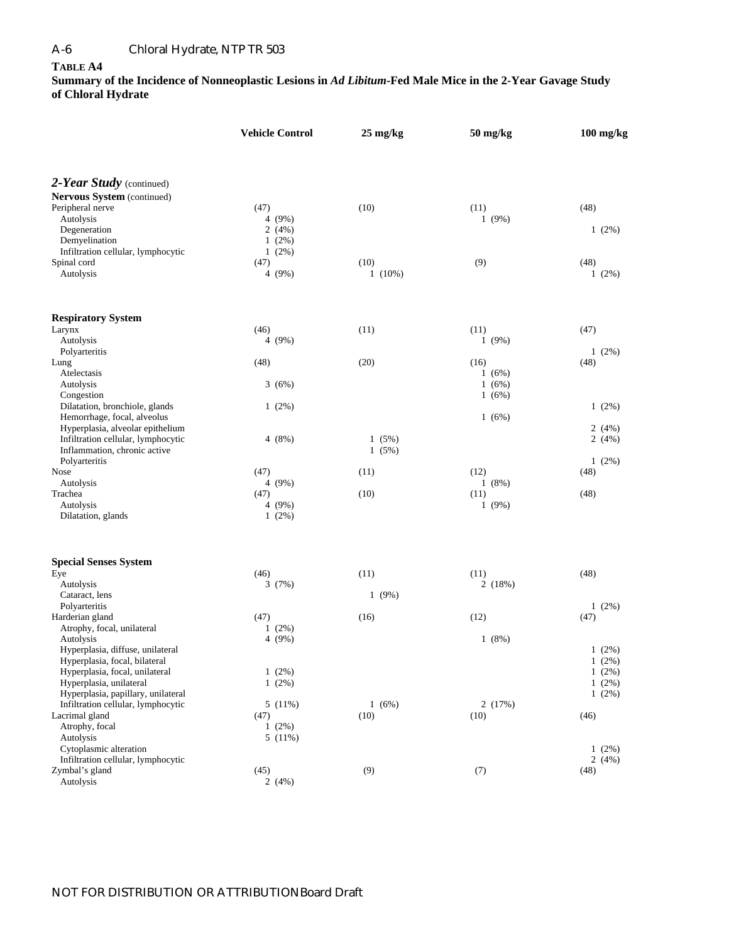### **TABLE A4**

|                                                                    | <b>Vehicle Control</b> |                | $50$ mg/kg    | $100$ mg/kg          |  |  |
|--------------------------------------------------------------------|------------------------|----------------|---------------|----------------------|--|--|
|                                                                    |                        |                |               |                      |  |  |
| 2-Year Study (continued)                                           |                        |                |               |                      |  |  |
| Nervous System (continued)                                         |                        |                |               |                      |  |  |
| Peripheral nerve<br>Autolysis                                      | (47)<br>4(9%)          | (10)           | (11)<br>1(9%) | (48)                 |  |  |
| Degeneration                                                       | 2(4%)                  |                |               | $1(2\%)$             |  |  |
| Demyelination                                                      | $1(2\%)$               |                |               |                      |  |  |
| Infiltration cellular, lymphocytic                                 | $1(2\%)$               |                |               |                      |  |  |
| Spinal cord                                                        | (47)                   | (10)           | (9)           | (48)                 |  |  |
| Autolysis                                                          | 4(9%)                  | $1(10\%)$      |               | $1(2\%)$             |  |  |
| <b>Respiratory System</b>                                          |                        |                |               |                      |  |  |
| Larynx                                                             | (46)                   | (11)           | (11)          | (47)                 |  |  |
| Autolysis                                                          | 4(9%)                  |                | 1(9%)         |                      |  |  |
| Polyarteritis                                                      |                        |                |               | $1(2\%)$             |  |  |
| Lung<br>Atelectasis                                                | (48)                   | (20)           | (16)<br>1(6%) | (48)                 |  |  |
| Autolysis                                                          | 3(6%)                  |                | 1(6%)         |                      |  |  |
| Congestion                                                         |                        |                | 1(6%)         |                      |  |  |
| Dilatation, bronchiole, glands                                     | $1(2\%)$               |                |               | $1(2\%)$             |  |  |
| Hemorrhage, focal, alveolus                                        |                        |                | 1(6%)         |                      |  |  |
| Hyperplasia, alveolar epithelium                                   |                        |                |               | 2(4%)                |  |  |
| Infiltration cellular, lymphocytic<br>Inflammation, chronic active | 4(8%)                  | 1(5%)<br>1(5%) |               | 2(4%)                |  |  |
| Polyarteritis                                                      |                        |                |               | $1(2\%)$             |  |  |
| <b>Nose</b>                                                        | (47)                   | (11)           | (12)          | (48)                 |  |  |
| Autolysis                                                          | 4(9%)                  |                | 1(8%)         |                      |  |  |
| Trachea                                                            | (47)                   | (10)           | (11)          | (48)                 |  |  |
| Autolysis                                                          | 4(9%)                  |                | 1(9%)         |                      |  |  |
| Dilatation, glands                                                 | $1(2\%)$               |                |               |                      |  |  |
| <b>Special Senses System</b>                                       |                        |                |               |                      |  |  |
| Eye                                                                | (46)                   | (11)           | (11)          | (48)                 |  |  |
| Autolysis                                                          | 3(7%)                  |                | 2(18%)        |                      |  |  |
| Cataract, lens<br>Polyarteritis                                    |                        | 1(9%)          |               | $1(2\%)$             |  |  |
| Harderian gland                                                    | (47)                   | (16)           | (12)          | (47)                 |  |  |
| Atrophy, focal, unilateral                                         | $1(2\%)$               |                |               |                      |  |  |
| Autolysis                                                          | 4(9%)                  |                | 1(8%)         |                      |  |  |
| Hyperplasia, diffuse, unilateral                                   |                        |                |               | $1(2\%)$             |  |  |
| Hyperplasia, focal, bilateral                                      |                        |                |               | $1(2\%)$             |  |  |
| Hyperplasia, focal, unilateral<br>Hyperplasia, unilateral          | $1(2\%)$<br>$1(2\%)$   |                |               | $1(2\%)$<br>$1(2\%)$ |  |  |
| Hyperplasia, papillary, unilateral                                 |                        |                |               | $1(2\%)$             |  |  |
| Infiltration cellular, lymphocytic                                 | 5(11%)                 | 1(6%)          | 2(17%)        |                      |  |  |
| Lacrimal gland                                                     | (47)                   | (10)           | (10)          | (46)                 |  |  |
| Atrophy, focal                                                     | $1(2\%)$               |                |               |                      |  |  |
| Autolysis                                                          | 5(11%)                 |                |               |                      |  |  |
| Cytoplasmic alteration<br>Infiltration cellular, lymphocytic       |                        |                |               | $1(2\%)$<br>2(4%)    |  |  |
| Zymbal's gland                                                     | (45)                   | (9)            | (7)           | (48)                 |  |  |
| Autolysis                                                          | 2(4%)                  |                |               |                      |  |  |